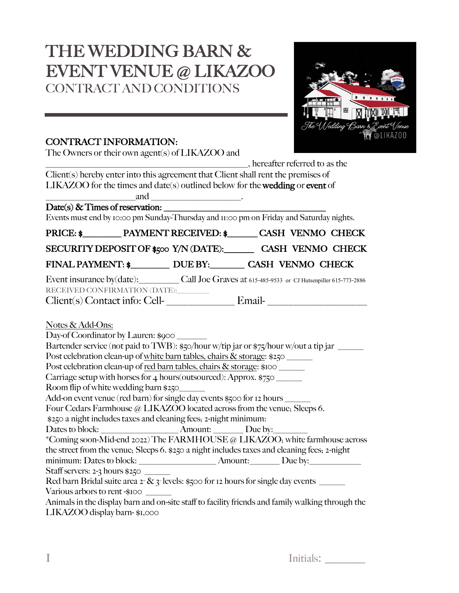# THE WEDDING BARN & EVENT VENUE @ LIKAZOO CONTRACT AND CONDITIONS



# CONTRACT INFORMATION:

The Owners or their own agent(s) of LIKAZOO and

\_\_\_\_\_\_\_\_\_\_\_\_\_\_\_\_\_\_\_\_\_\_\_\_\_\_\_\_\_\_\_\_\_\_\_\_\_\_\_\_\_\_\_\_\_, hereafter referred to as the Client(s) hereby enter into this agreement that Client shall rent the premises of LIKAZOO for the times and date(s) outlined below for the wedding or event of and  $\qquad \qquad \ldots$ 

 $Date(s)$  & Times of reservation:

Events must end by 10:00 pm Sunday-Thursday and 11:00 pm on Friday and Saturday nights.

| PRICE: \$PAYMENT RECEIVED: \$CASH VENMO CHECK                                                                               |  |  |  |
|-----------------------------------------------------------------------------------------------------------------------------|--|--|--|
| SECURITY DEPOSIT OF \$500 Y/N (DATE): CASH VENMO CHECK                                                                      |  |  |  |
| FINAL PAYMENT: \$ DUE BY: CASH VENMO CHECK                                                                                  |  |  |  |
| Event insurance by (date): Call Joe Graves at 615-485-9533 or CJ Hutsenpiller 615-773-2886<br>RECEIVED CONFIRMATION (DATE): |  |  |  |
| Client(s) Contact info: Cell-<br>Email-                                                                                     |  |  |  |

Notes & Add-Ons:

Day-of Coordinator by Lauren: \$900 Bartender service (not paid to TWB): \$50/hour w/tip jar or \$75/hour w/out a tip jar \_\_\_\_\_\_ Post celebration clean-up of white barn tables, chairs  $\&$  storage: \$250 Post celebration clean-up of red barn tables, chairs & storage: \$100 Carriage setup with horses for 4 hours (outsourced): Approx.  $\frac{1}{2}750$ Room flip of white wedding barn \$250\_\_\_\_\_\_ Add-on event venue (red barn) for single day events \$500 for 12 hours \_\_\_\_\_\_ Four Cedars Farmhouse @ LIKAZOO located across from the venue; Sleeps 6. \$250 a night includes taxes and cleaning fees; 2-night minimum: Dates to block: <br>  $\blacksquare$  Amount:  $\blacksquare$  Due by: \*Coming soon-Mid-end 2022) The FARMHOUSE @ LIKAZOO; white farmhouse across the street from the venue; Sleeps 6. \$250 a night includes taxes and cleaning fees; 2-night minimum: Dates to block: \_\_\_\_\_\_\_\_\_\_\_\_\_\_\_\_\_\_ Amount:\_\_\_\_\_\_\_ Due by:\_\_\_\_\_\_\_\_\_\_\_\_ Staff servers: 2-3 hours \$250 Red barn Bridal suite area  $2 - \& 3$  levels: \$500 for 12 hours for single day events Various arbors to rent -\$100 Animals in the display barn and on-site staff to facility friends and family walking through the

LIKAZOO display barn- \$1,000

Initials: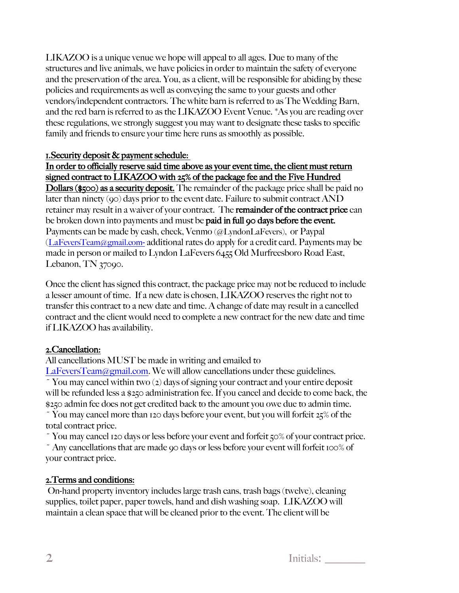LIKAZOO is a unique venue we hope will appeal to all ages. Due to many of the structures and live animals, we have policies in order to maintain the safety of everyone and the preservation of the area. You, as a client, will be responsible for abiding by these policies and requirements as well as conveying the same to your guests and other vendors/independent contractors. The white barn is referred to as The Wedding Barn, and the red barn is referred to as the LIKAZOO Event Venue. \*As you are reading over these regulations, we strongly suggest you may want to designate these tasks to specific family and friends to ensure your time here runs as smoothly as possible.

#### 1.Security deposit & payment schedule:

#### In order to officially reserve said time above as your event time, the client must return signed contract to LIKAZOO with 25% of the package fee and the Five Hundred

Dollars (\$500) as a security deposit. The remainder of the package price shall be paid no later than ninety (90) days prior to the event date. Failure to submit contract AND retainer may result in a waiver of your contract. The remainder of the contract price can be broken down into payments and must be **paid in full 90 days before the event.** Payments can be made by cash, check, Venmo (@LyndonLaFevers), or Paypal (LaFeversTeam@gmail.com- additional rates do apply for a credit card. Payments may be made in person or mailed to Lyndon LaFevers 6455 Old Murfreesboro Road East, Lebanon, TN 37090.

Once the client has signed this contract, the package price may not be reduced to include a lesser amount of time. If a new date is chosen, LIKAZOO reserves the right not to transfer this contract to a new date and time. A change of date may result in a cancelled contract and the client would need to complete a new contract for the new date and time if LIKAZOO has availability.

#### 2.Cancellation:

All cancellations MUST be made in writing and emailed to

LaFeversTeam@gmail.com. We will allow cancellations under these guidelines.

 $\tilde{Y}$  You may cancel within two (2) days of signing your contract and your entire deposit will be refunded less a \$250 administration fee.If you cancel and decide to come back, the \$250 admin fee does not get credited back to the amount you owe due to admin time.

~ You may cancel more than 120 days before your event, but you will forfeit 25% of the total contract price.

~ You may cancel 120 days or less before your event and forfeit 50% of your contract price.

~ Any cancellations that are made 90 days or less before your event will forfeit 100% of your contract price.

# 2.Terms and conditions:

 On-hand property inventory includes large trash cans, trash bags (twelve), cleaning supplies, toilet paper, paper towels, hand and dish washing soap. LIKAZOO will maintain a clean space that will be cleaned prior to the event. The client will be

| ⌒<br>Initials:<br>∸ |  |
|---------------------|--|
|---------------------|--|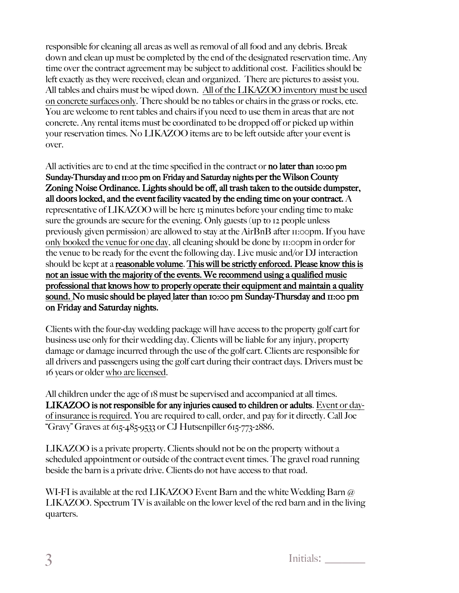responsible for cleaning all areas as well as removal of all food and any debris. Break down and clean up must be completed by the end of the designated reservation time. Any time over the contract agreement may be subject to additional cost. Facilities should be left exactly as they were received; clean and organized. There are pictures to assist you. All tables and chairs must be wiped down. All of the LIKAZOO inventory must be used on concrete surfaces only. There should be no tables or chairs in the grass or rocks, etc. You are welcome to rent tables and chairs if you need to use them in areas that are not concrete. Any rental items must be coordinated to be dropped off or picked up within your reservation times. No LIKAZOO items are to be left outside after your event is over.

All activities are to end at the time specified in the contract or **no later than** 10:00 pm Sunday-Thursday and 11:00 pm on Friday and Saturday nights per the Wilson County Zoning Noise Ordinance. Lights should be off, all trash taken to the outside dumpster, all doors locked, and the event facility vacated by the ending time on your contract. A representative of LIKAZOO will be here 15 minutes before your ending time to make sure the grounds are secure for the evening. Only guests (up to 12 people unless previously given permission) are allowed to stay at the AirBnB after 11:00pm. If you have only booked the venue for one day, all cleaning should be done by 11:00pm in order for the venue to be ready for the event the following day. Live music and/or DJ interaction should be kept at a reasonable volume. This will be strictly enforced. Please know this is not an issue with the majority of the events. We recommend using a qualified music professional that knows how to properly operate their equipment and maintain a quality sound. No music should be played later than 10:00 pm Sunday-Thursday and 11:00 pm on Friday and Saturday nights.

Clients with the four-day wedding package will have access to the property golf cart for business use only for their wedding day. Clients will be liable for any injury, property damage or damage incurred through the use of the golf cart. Clients are responsible for all drivers and passengers using the golf cart during their contract days. Drivers must be 16 years or older who are licensed.

All children under the age of 18 must be supervised and accompanied at all times. LIKAZOO is not responsible for any injuries caused to children or adults. Event or dayof insurance is required. You are required to call, order, and pay for it directly. Call Joe "Gravy" Graves at 615-485-9533 or CJ Hutsenpiller 615-773-2886.

LIKAZOO is a private property. Clients should not be on the property without a scheduled appointment or outside of the contract event times. The gravel road running beside the barn is a private drive. Clients do not have access to that road.

WI-FI is available at the red LIKAZOO Event Barn and the white Wedding Barn @ LIKAZOO. Spectrum TV is available on the lower level of the red barn and in the living quarters.

3 Initials: \_\_\_\_\_\_\_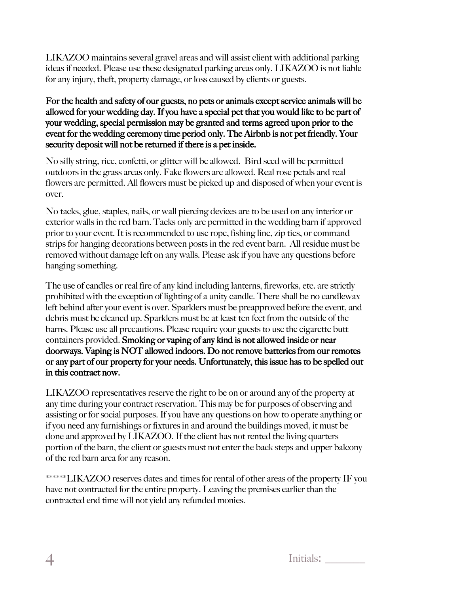LIKAZOO maintains several gravel areas and will assist client with additional parking ideas if needed. Please use these designated parking areas only. LIKAZOO is not liable for any injury, theft, property damage, or loss caused by clients or guests.

## For the health and safety of our guests, no pets or animals except service animals will be allowed for your wedding day. If you have a special pet that you would like to be part of your wedding, special permission may be granted and terms agreed upon prior to the event for the wedding ceremony time period only. The Airbnb is not pet friendly. Your security deposit will not be returned if there is a pet inside.

No silly string, rice, confetti, or glitter will be allowed. Bird seed will be permitted outdoors in the grass areas only. Fake flowers are allowed. Real rose petals and real flowers are permitted. All flowers must be picked up and disposed of when your event is over.

No tacks, glue, staples, nails, or wall piercing devices are to be used on any interior or exterior walls in the red barn. Tacks only are permitted in the wedding barn if approved prior to your event. It is recommended to use rope, fishing line, zip ties, or command strips for hanging decorations between posts in the red event barn. All residue must be removed without damage left on any walls. Please ask if you have any questions before hanging something.

The use of candles or real fire of any kind including lanterns, fireworks, etc. are strictly prohibited with the exception of lighting of a unity candle. There shall be no candlewax left behind after your event is over. Sparklers must be preapproved before the event, and debris must be cleaned up. Sparklers must be at least ten feet from the outside of the barns. Please use all precautions. Please require your guests to use the cigarette butt containers provided. Smoking or vaping of any kind is not allowed inside or near doorways. Vaping is NOT allowed indoors. Do not remove batteries from our remotes or any part of our property for your needs. Unfortunately, this issue has to be spelled out in this contract now.

LIKAZOO representatives reserve the right to be on or around any of the property at any time during your contract reservation. This may be for purposes of observing and assisting or for social purposes. If you have any questions on how to operate anything or if you need any furnishings or fixtures in and around the buildings moved, it must be done and approved by LIKAZOO. If the client has not rented the living quarters portion of the barn, the client or guests must not enter the back steps and upper balcony of the red barn area for any reason.

\*\*\*\*\*\*LIKAZOO reserves dates and times for rental of other areas of the property IF you have not contracted for the entire property. Leaving the premises earlier than the contracted end time will not yield any refunded monies.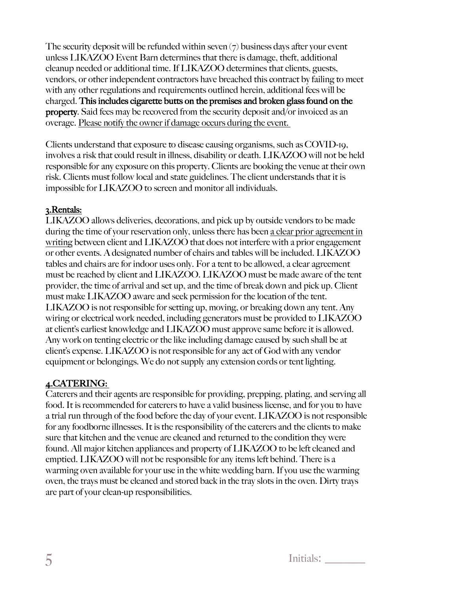The security deposit will be refunded within seven  $(7)$  business days after your event unless LIKAZOO Event Barn determines that there is damage, theft, additional cleanup needed or additional time. If LIKAZOO determines that clients, guests, vendors, or other independent contractors have breached this contract by failing to meet with any other regulations and requirements outlined herein, additional fees will be charged. This includes cigarette butts on the premises and broken glass found on the property. Said fees may be recovered from the security deposit and/or invoiced as an overage. Please notify the owner if damage occurs during the event.

Clients understand that exposure to disease causing organisms, such as COVID-19, involves a risk that could result in illness, disability or death. LIKAZOO will not be held responsible for any exposure on this property. Clients are booking the venue at their own risk. Clients must follow local and state guidelines. The client understands that it is impossible for LIKAZOO to screen and monitor all individuals.

# 3.Rentals:

LIKAZOO allows deliveries, decorations, and pick up by outside vendors to be made during the time of your reservation only, unless there has been a clear prior agreement in writing between client and LIKAZOO that does not interfere with a prior engagement or other events. A designated number of chairs and tables will be included. LIKAZOO tables and chairs are for indoor uses only. For a tent to be allowed, a clear agreement must be reached by client and LIKAZOO. LIKAZOO must be made aware of the tent provider, the time of arrival and set up, and the time of break down and pick up. Client must make LIKAZOO aware and seek permission for the location of the tent. LIKAZOO is not responsible for setting up, moving, or breaking down any tent. Any wiring or electrical work needed, including generators must be provided to LIKAZOO at client's earliest knowledge and LIKAZOO must approve same before it is allowed. Any work on tenting electric or the like including damage caused by such shall be at client's expense. LIKAZOO is not responsible for any act of God with any vendor equipment or belongings. We do not supply any extension cords or tent lighting.

# 4.CATERING:

Caterers and their agents are responsible for providing, prepping, plating, and serving all food. It is recommended for caterers to have a valid business license, and for you to have a trial run through of the food before the day of your event. LIKAZOO is not responsible for any foodborne illnesses. It is the responsibility of the caterers and the clients to make sure that kitchen and the venue are cleaned and returned to the condition they were found. All major kitchen appliances and property of LIKAZOO to be left cleaned and emptied. LIKAZOO will not be responsible for any items left behind. There is a warming oven available for your use in the white wedding barn. If you use the warming oven, the trays must be cleaned and stored back in the tray slots in the oven. Dirty trays are part of your clean-up responsibilities.

 $\overline{5}$  Initials:  $\overline{5}$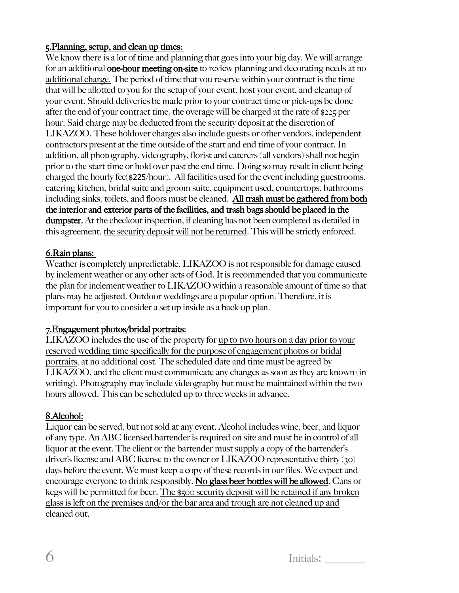## 5.Planning, setup, and clean up times:

We know there is a lot of time and planning that goes into your big day. We will arrange for an additional one-hour meeting on-site to review planning and decorating needs at no additional charge. The period of time that you reserve within your contract is the time that will be allotted to you for the setup of your event, host your event, and cleanup of your event. Should deliveries be made prior to your contract time or pick-ups be done after the end of your contract time, the overage will be charged at the rate of \$225 per hour. Said charge may be deducted from the security deposit at the discretion of LIKAZOO. These holdover charges also include guests or other vendors, independent contractors present at the time outside of the start and end time of your contract. In addition, all photography, videography, florist and caterers (all vendors) shall not begin prior to the start time or hold over past the end time. Doing so may result in client being charged the hourly fee(\$225/hour). All facilities used for the event including guestrooms, catering kitchen, bridal suite and groom suite, equipment used, countertops, bathrooms including sinks, toilets, and floors must be cleaned. All trash must be gathered from both the interior and exterior parts of the facilities, and trash bags should be placed in the dumpster. At the checkout inspection, if cleaning has not been completed as detailed in this agreement, the security deposit will not be returned. This will be strictly enforced.

## 6.Rain plans:

Weather is completely unpredictable, LIKAZOO is not responsible for damage caused by inclement weather or any other acts of God. It is recommended that you communicate the plan for inclement weather to LIKAZOO within a reasonable amount of time so that plans may be adjusted. Outdoor weddings are a popular option. Therefore, it is important for you to consider a set up inside as a back-up plan.

## 7.Engagement photos/bridal portraits:

LIKAZOO includes the use of the property for up to two hours on a day prior to your reserved wedding time specifically for the purpose of engagement photos or bridal portraits, at no additional cost. The scheduled date and time must be agreed by LIKAZOO, and the client must communicate any changes as soon as they are known (in writing). Photography may include videography but must be maintained within the two hours allowed. This can be scheduled up to three weeks in advance.

## 8.Alcohol:

Liquor can be served, but not sold at any event. Alcohol includes wine, beer, and liquor of any type. An ABC licensed bartender is required on site and must be in control of all liquor at the event. The client or the bartender must supply a copy of the bartender's driver's license and ABC license to the owner or LIKAZOO representative thirty (30) days before the event. We must keep a copy of these records in our files. We expect and encourage everyone to drink responsibly. No glass beer bottles will be allowed. Cans or kegs will be permitted for beer. The \$500 security deposit will be retained if any broken glass is left on the premises and/or the bar area and trough are not cleaned up and cleaned out.

 $\overline{6}$  Initials: